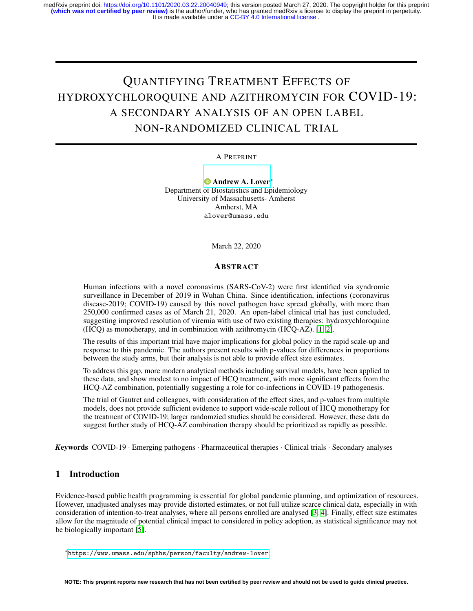It is made available under a CC-BY 4.0 International license. medRxiv preprint doi: [https://doi.org/10.1101/2020.03.22.20040949;](https://doi.org/10.1101/2020.03.22.20040949) this version posted March 27, 2020. The copyright holder for this preprint<br>(**which was not certified by peer review)** is the author/funder, who has granted

# QUANTIFYING TREATMENT EFFECTS OF HYDROXYCHLOROQUINE AND AZITHROMYCIN FOR COVID-19: A SECONDARY ANALYSIS OF AN OPEN LABEL NON-RANDOMIZED CLINICAL TRIAL

A PREPRINT

[Andrew A. Lover](https://orcid.org/0000-0002-2181-3559)<sup>∗</sup> Department of Biostatistics and Epidemiology University of Massachusetts- Amherst Amherst, MA alover@umass.edu

March 22, 2020

#### ABSTRACT

Human infections with a novel coronavirus (SARS-CoV-2) were first identified via syndromic surveillance in December of 2019 in Wuhan China. Since identification, infections (coronavirus disease-2019; COVID-19) caused by this novel pathogen have spread globally, with more than 250,000 confirmed cases as of March 21, 2020. An open-label clinical trial has just concluded, suggesting improved resolution of viremia with use of two existing therapies: hydroxychloroquine (HCQ) as monotherapy, and in combination with azithromycin (HCQ-AZ). [\[1,](#page-4-0) [2\]](#page-4-1).

The results of this important trial have major implications for global policy in the rapid scale-up and response to this pandemic. The authors present results with p-values for differences in proportions between the study arms, but their analysis is not able to provide effect size estimates.

To address this gap, more modern analytical methods including survival models, have been applied to these data, and show modest to no impact of HCQ treatment, with more significant effects from the HCQ-AZ combination, potentially suggesting a role for co-infections in COVID-19 pathogenesis.

The trial of Gautret and colleagues, with consideration of the effect sizes, and p-values from multiple models, does not provide sufficient evidence to support wide-scale rollout of HCQ monotherapy for the treatment of COVID-19; larger randomzied studies should be considered. However, these data do suggest further study of HCQ-AZ combination therapy should be prioritized as rapidly as possible.

*K*eywords COVID-19 · Emerging pathogens · Pharmaceutical therapies · Clinical trials · Secondary analyses

# 1 Introduction

Evidence-based public health programming is essential for global pandemic planning, and optimization of resources. However, unadjusted analyses may provide distorted estimates, or not full utilize scarce clinical data, especially in with consideration of intention-to-treat analyses, where all persons enrolled are analysed [\[3,](#page-4-2) [4\]](#page-4-3). Finally, effect size estimates allow for the magnitude of potential clinical impact to considered in policy adoption, as statistical significance may not be biologically important [\[5\]](#page-4-4).

<sup>∗</sup> <https://www.umass.edu/sphhs/person/faculty/andrew-lover>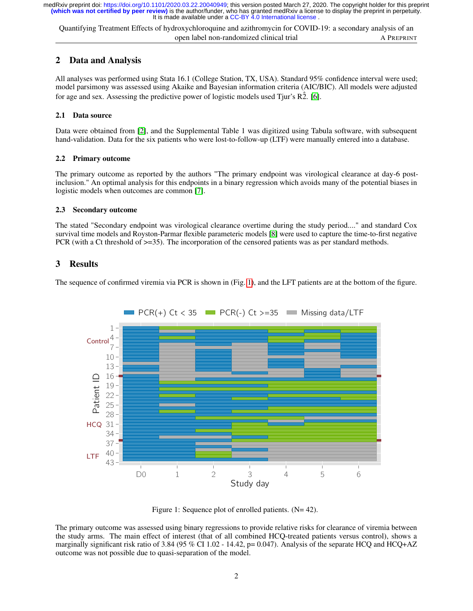It is made available under a CC-BY 4.0 International license. **(which was not certified by peer review)** is the author/funder, who has granted medRxiv a license to display the preprint in perpetuity. medRxiv preprint doi: [https://doi.org/10.1101/2020.03.22.20040949;](https://doi.org/10.1101/2020.03.22.20040949) this version posted March 27, 2020. The copyright holder for this preprint

Quantifying Treatment Effects of hydroxychloroquine and azithromycin for COVID-19: a secondary analysis of an open label non-randomized clinical trial A PREPRINT

# 2 Data and Analysis

All analyses was performed using Stata 16.1 (College Station, TX, USA). Standard 95% confidence interval were used; model parsimony was assessed using Akaike and Bayesian information criteria (AIC/BIC). All models were adjusted for age and sex. Assessing the predictive power of logistic models used Tjur's  $\overline{R2}$ . [\[6\]](#page-4-5).

#### 2.1 Data source

Data were obtained from [\[2\]](#page-4-1), and the Supplemental Table 1 was digitized using Tabula software, with subsequent hand-validation. Data for the six patients who were lost-to-follow-up (LTF) were manually entered into a database.

#### 2.2 Primary outcome

The primary outcome as reported by the authors "The primary endpoint was virological clearance at day-6 postinclusion." An optimal analysis for this endpoints in a binary regression which avoids many of the potential biases in logistic models when outcomes are common [\[7\]](#page-4-6).

#### 2.3 Secondary outcome

The stated "Secondary endpoint was virological clearance overtime during the study period...." and standard Cox survival time models and Royston-Parmar flexible parameteric models [\[8\]](#page-4-7) were used to capture the time-to-first negative PCR (with a Ct threshold of >=35). The incorporation of the censored patients was as per standard methods.

## 3 Results

The sequence of confirmed viremia via PCR is shown in (Fig. [1\)](#page-1-0), and the LFT patients are at the bottom of the figure.



<span id="page-1-0"></span>Figure 1: Sequence plot of enrolled patients. (N= 42).

The primary outcome was assessed using binary regressions to provide relative risks for clearance of viremia between the study arms. The main effect of interest (that of all combined HCQ-treated patients versus control), shows a marginally significant risk ratio of 3.84 (95 % CI 1.02 - 14.42,  $p= 0.047$ ). Analysis of the separate HCQ and HCQ+AZ outcome was not possible due to quasi-separation of the model.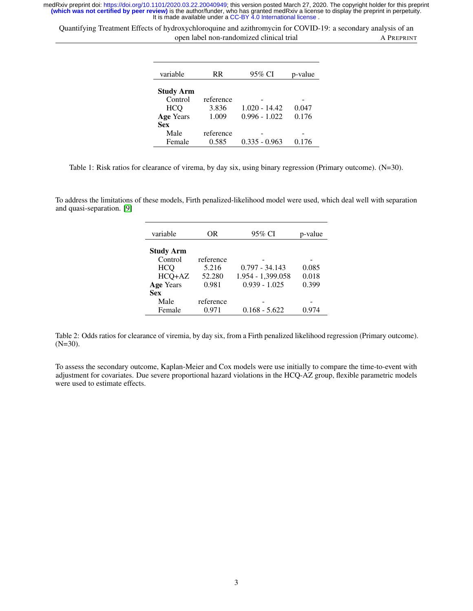It is made available under a CC-BY 4.0 International license. medRxiv preprint doi: [https://doi.org/10.1101/2020.03.22.20040949;](https://doi.org/10.1101/2020.03.22.20040949) this version posted March 27, 2020. The copyright holder for this preprint<br>(**which was not certified by peer review)** is the author/funder, who has granted

Quantifying Treatment Effects of hydroxychloroquine and azithromycin for COVID-19: a secondary analysis of an open label non-randomized clinical trial A PREPRINT

| variable         | RR.       | 95% CI          | p-value |
|------------------|-----------|-----------------|---------|
| <b>Study Arm</b> |           |                 |         |
| Control          | reference |                 |         |
| <b>HCO</b>       | 3.836     | $1.020 - 14.42$ | 0.047   |
| <b>Age Years</b> | 1.009     | $0.996 - 1.022$ | 0.176   |
| <b>Sex</b>       |           |                 |         |
| Male             | reference |                 |         |
| Female           | 0.585     | $0.335 - 0.963$ | 0.176   |

Table 1: Risk ratios for clearance of virema, by day six, using binary regression (Primary outcome). (N=30).

To address the limitations of these models, Firth penalized-likelihood model were used, which deal well with separation and quasi-separation. [\[9\]](#page-4-8)

| variable         | OR        | 95% CI            | p-value |
|------------------|-----------|-------------------|---------|
| <b>Study Arm</b> |           |                   |         |
| Control          | reference |                   |         |
| <b>HCQ</b>       | 5.216     | $0.797 - 34.143$  | 0.085   |
| HCQ+AZ           | 52.280    | 1.954 - 1,399.058 | 0.018   |
| Age Years        | 0.981     | $0.939 - 1.025$   | 0.399   |
| <b>Sex</b>       |           |                   |         |
| Male             | reference |                   |         |
| Female           | 0.971     | $0.168 - 5.622$   | 0.974   |

Table 2: Odds ratios for clearance of viremia, by day six, from a Firth penalized likelihood regression (Primary outcome). (N=30).

To assess the secondary outcome, Kaplan-Meier and Cox models were use initially to compare the time-to-event with adjustment for covariates. Due severe proportional hazard violations in the HCQ-AZ group, flexible parametric models were used to estimate effects.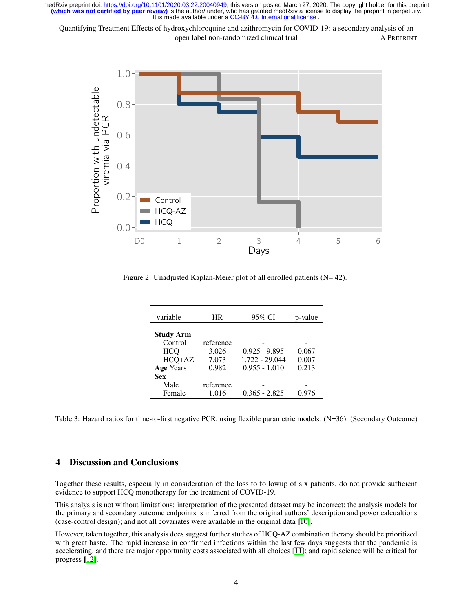It is made available under a CC-BY 4.0 International license. **(which was not certified by peer review)** is the author/funder, who has granted medRxiv a license to display the preprint in perpetuity. medRxiv preprint doi: [https://doi.org/10.1101/2020.03.22.20040949;](https://doi.org/10.1101/2020.03.22.20040949) this version posted March 27, 2020. The copyright holder for this preprint

Quantifying Treatment Effects of hydroxychloroquine and azithromycin for COVID-19: a secondary analysis of an open label non-randomized clinical trial A PREPRINT



Figure 2: Unadjusted Kaplan-Meier plot of all enrolled patients (N= 42).

| variable         | HR        | 95% CI          | p-value |
|------------------|-----------|-----------------|---------|
| <b>Study Arm</b> |           |                 |         |
| Control          | reference |                 |         |
| <b>HCO</b>       | 3.026     | $0.925 - 9.895$ | 0.067   |
| HCQ+AZ           | 7.073     | 1.722 - 29.044  | 0.007   |
| <b>Age Years</b> | 0.982     | $0.955 - 1.010$ | 0.213   |
| <b>Sex</b>       |           |                 |         |
| Male             | reference |                 |         |
| Female           | 1.016     | $0.365 - 2.825$ | 0.976   |

Table 3: Hazard ratios for time-to-first negative PCR, using flexible parametric models. (N=36). (Secondary Outcome)

# 4 Discussion and Conclusions

Together these results, especially in consideration of the loss to followup of six patients, do not provide sufficient evidence to support HCQ monotherapy for the treatment of COVID-19.

This analysis is not without limitations: interpretation of the presented dataset may be incorrect; the analysis models for the primary and secondary outcome endpoints is inferred from the original authors' description and power calcualtions (case-control design); and not all covariates were available in the original data [\[10\]](#page-4-9).

However, taken together, this analysis does suggest further studies of HCQ-AZ combination therapy should be prioritized with great haste. The rapid increase in confirmed infections within the last few days suggests that the pandemic is accelerating, and there are major opportunity costs associated with all choices [\[11\]](#page-4-10); and rapid science will be critical for progress [\[12\]](#page-4-11).